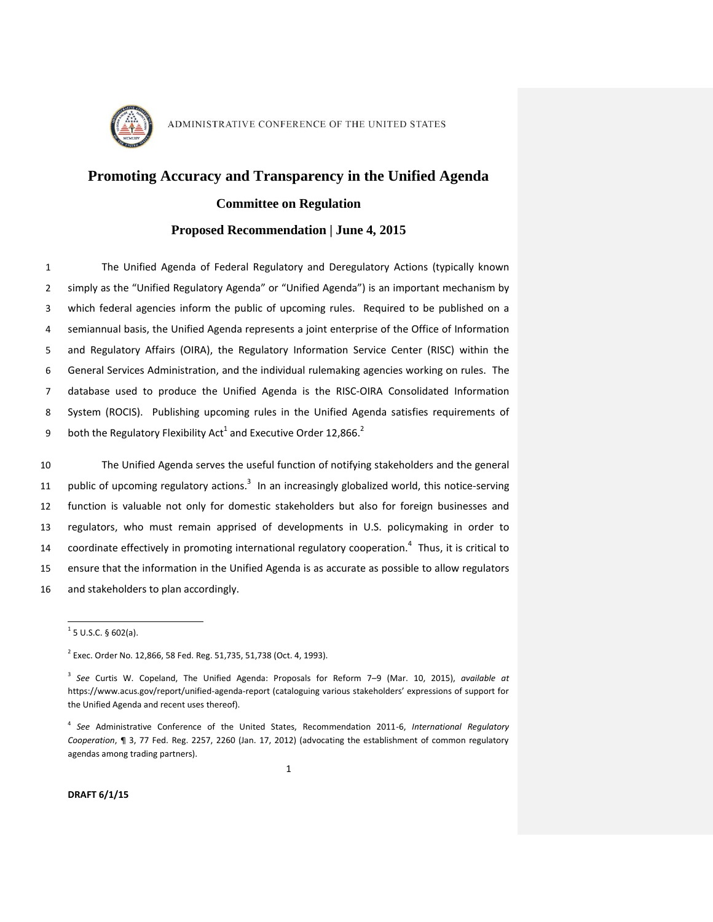

# **Promoting Accuracy and Transparency in the Unified Agenda**

## **Committee on Regulation**

## **Proposed Recommendation | June 4, 2015**

 The Unified Agenda of Federal Regulatory and Deregulatory Actions (typically known simply as the "Unified Regulatory Agenda" or "Unified Agenda") is an important mechanism by which federal agencies inform the public of upcoming rules. Required to be published on a semiannual basis, the Unified Agenda represents a joint enterprise of the Office of Information and Regulatory Affairs (OIRA), the Regulatory Information Service Center (RISC) within the General Services Administration, and the individual rulemaking agencies working on rules. The database used to produce the Unified Agenda is the RISC-OIRA Consolidated Information System (ROCIS). Publishing upcoming rules in the Unified Agenda satisfies requirements of both the Regulatory Flexibility Act<sup>1</sup> and Executive Order 12,866.<sup>2</sup> 9

<span id="page-0-0"></span> The Unified Agenda serves the useful function of notifying stakeholders and the general 11 public of upcoming regulatory actions.<sup>3</sup> In an increasingly globalized world, this notice-serving function is valuable not only for domestic stakeholders but also for foreign businesses and regulators, who must remain apprised of developments in U.S. policymaking in order to 14 coordinate effectively in promoting international regulatory cooperation.<sup>4</sup> Thus, it is critical to ensure that the information in the Unified Agenda is as accurate as possible to allow regulators and stakeholders to plan accordingly.

 $\overline{a}$ 

**DRAFT 6/1/15**

 $1$  5 U.S.C. § 602(a).

<sup>&</sup>lt;sup>2</sup> Exec. Order No. 12,866, 58 Fed. Reg. 51,735, 51,738 (Oct. 4, 1993).

<sup>3</sup> *See* Curtis W. Copeland, The Unified Agenda: Proposals for Reform 7–9 (Mar. 10, 2015), *available at*  https://www.acus.gov/report/unified-agenda-report (cataloguing various stakeholders' expressions of support for the Unified Agenda and recent uses thereof).

<sup>4</sup> *See* Administrative Conference of the United States, Recommendation 2011-6, *International Regulatory Cooperation*, ¶ 3, 77 Fed. Reg. 2257, 2260 (Jan. 17, 2012) (advocating the establishment of common regulatory agendas among trading partners).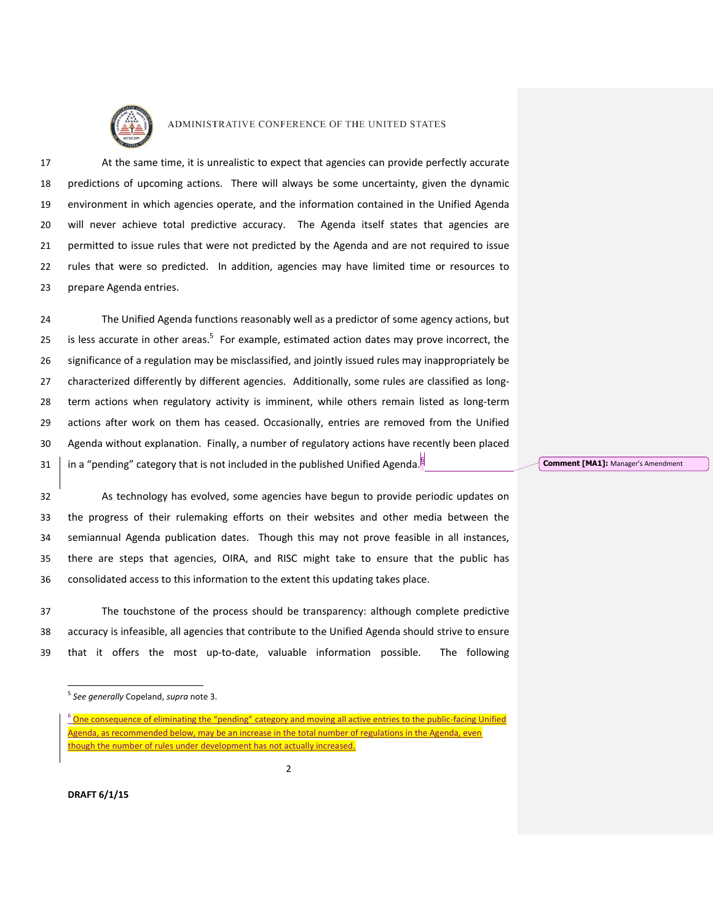

 At the same time, it is unrealistic to expect that agencies can provide perfectly accurate predictions of upcoming actions. There will always be some uncertainty, given the dynamic environment in which agencies operate, and the information contained in the Unified Agenda will never achieve total predictive accuracy. The Agenda itself states that agencies are permitted to issue rules that were not predicted by the Agenda and are not required to issue rules that were so predicted. In addition, agencies may have limited time or resources to prepare Agenda entries.

 The Unified Agenda functions reasonably well as a predictor of some agency actions, but 25 is less accurate in other areas.<sup>5</sup> For example, estimated action dates may prove incorrect, the significance of a regulation may be misclassified, and jointly issued rules may inappropriately be characterized differently by different agencies. Additionally, some rules are classified as long- term actions when regulatory activity is imminent, while others remain listed as long-term actions after work on them has ceased. Occasionally, entries are removed from the Unified Agenda without explanation. Finally, a number of regulatory actions have recently been placed  $\parallel$  in a "pending" category that is not included in the published Unified Agenda.<sup>[5]</sup>

 As technology has evolved, some agencies have begun to provide periodic updates on the progress of their rulemaking efforts on their websites and other media between the semiannual Agenda publication dates. Though this may not prove feasible in all instances, there are steps that agencies, OIRA, and RISC might take to ensure that the public has consolidated access to this information to the extent this updating takes place.

 The touchstone of the process should be transparency: although complete predictive accuracy is infeasible, all agencies that contribute to the Unified Agenda should strive to ensure that it offers the most up-to-date, valuable information possible. The following

#### **Comment [MA1]:** Manager's Amendment

 $\overline{a}$ *See generally* Copeland, *supra* note [3.](#page-0-0)

<sup>&</sup>lt;sup>6</sup> One consequence of eliminating the "pending" category and moving all active entries to the public-facing Unified Agenda, as recommended below, may be an increase in the total number of regulations in the Agenda, even though the number of rules under development has not actually increased.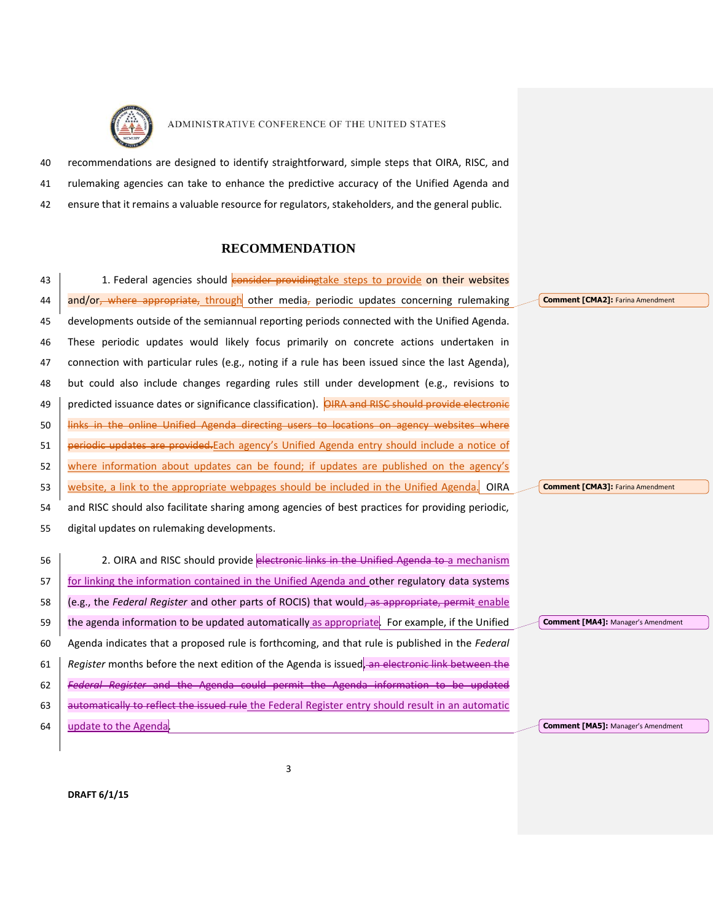

 recommendations are designed to identify straightforward, simple steps that OIRA, RISC, and rulemaking agencies can take to enhance the predictive accuracy of the Unified Agenda and ensure that it remains a valuable resource for regulators, stakeholders, and the general public.

# **RECOMMENDATION**

| 43 | 1. Federal agencies should consider providingtake steps to provide on their websites               |                                           |
|----|----------------------------------------------------------------------------------------------------|-------------------------------------------|
| 44 | and/or <sub>r</sub> where appropriate, through other media, periodic updates concerning rulemaking | <b>Comment [CMA2]: Farina Amendment</b>   |
| 45 | developments outside of the semiannual reporting periods connected with the Unified Agenda.        |                                           |
| 46 | These periodic updates would likely focus primarily on concrete actions undertaken in              |                                           |
| 47 | connection with particular rules (e.g., noting if a rule has been issued since the last Agenda),   |                                           |
| 48 | but could also include changes regarding rules still under development (e.g., revisions to         |                                           |
| 49 | predicted issuance dates or significance classification). OIRA and RISC should provide electronic  |                                           |
| 50 | links in the online Unified Agenda directing users to locations on agency websites where           |                                           |
| 51 | periodic updates are provided. Each agency's Unified Agenda entry should include a notice of       |                                           |
| 52 | where information about updates can be found; if updates are published on the agency's             |                                           |
| 53 | website, a link to the appropriate webpages should be included in the Unified Agenda.<br>OIRA      | <b>Comment [CMA3]: Farina Amendment</b>   |
| 54 | and RISC should also facilitate sharing among agencies of best practices for providing periodic,   |                                           |
| 55 | digital updates on rulemaking developments.                                                        |                                           |
| 56 | 2. OIRA and RISC should provide electronic links in the Unified Agenda to a mechanism              |                                           |
|    |                                                                                                    |                                           |
| 57 | for linking the information contained in the Unified Agenda and other regulatory data systems      |                                           |
| 58 | (e.g., the Federal Register and other parts of ROCIS) that would, as appropriate, permit enable    |                                           |
| 59 | the agenda information to be updated automatically as appropriate. For example, if the Unified     | <b>Comment [MA4]: Manager's Amendment</b> |
| 60 | Agenda indicates that a proposed rule is forthcoming, and that rule is published in the Federal    |                                           |
| 61 | Register months before the next edition of the Agenda is issued, an electronic link between the    |                                           |
| 62 | Federal Register and the Agenda could permit the Agenda information to be updated                  |                                           |
| 63 | automatically to reflect the issued rule the Federal Register entry should result in an automatic  |                                           |
| 64 | update to the Agenda.                                                                              | <b>Comment [MA5]: Manager's Amendment</b> |

**DRAFT 6/1/15**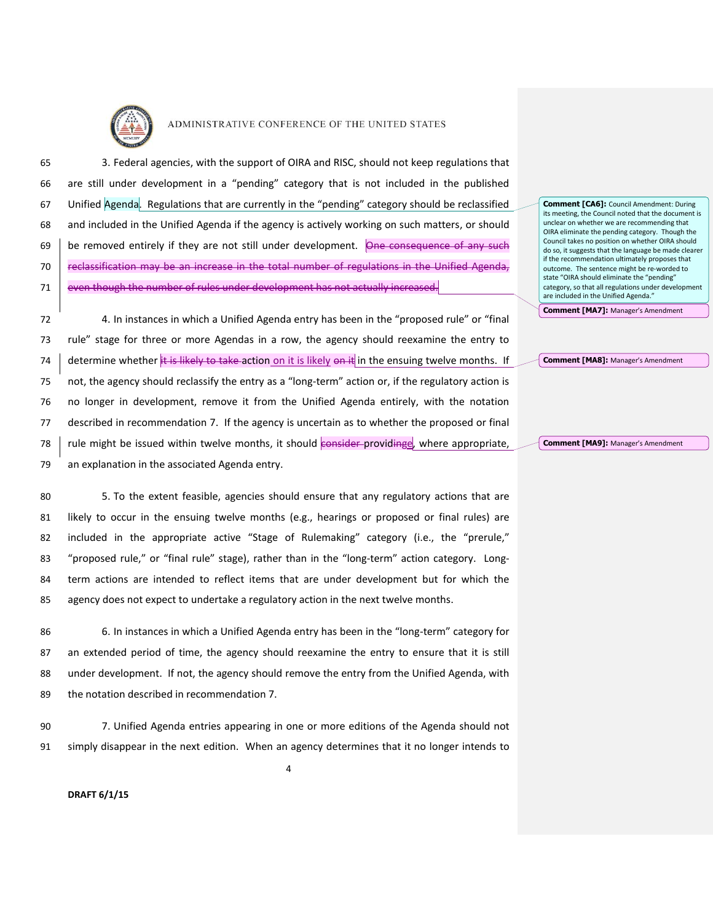

 3. Federal agencies, with the support of OIRA and RISC, should not keep regulations that are still under development in a "pending" category that is not included in the published Unified Agenda. Regulations that are currently in the "pending" category should be reclassified and included in the Unified Agenda if the agency is actively working on such matters, or should 69 be removed entirely if they are not still under development. One consequence of any such **Feclassification may be an increase in the total number of regulations in the Unified Agenda,** 71 even though the number of rules under development has not actually increased.

 4. In instances in which a Unified Agenda entry has been in the "proposed rule" or "final rule" stage for three or more Agendas in a row, the agency should reexamine the entry to 74 determine whether it is likely to take action on it is likely on it in the ensuing twelve months. If not, the agency should reclassify the entry as a "long-term" action or, if the regulatory action is no longer in development, remove it from the Unified Agenda entirely, with the notation described in recommendation 7. If the agency is uncertain as to whether the proposed or final  $\parallel$  rule might be issued within twelve months, it should consider-providinge, where appropriate, an explanation in the associated Agenda entry.

 5. To the extent feasible, agencies should ensure that any regulatory actions that are likely to occur in the ensuing twelve months (e.g., hearings or proposed or final rules) are included in the appropriate active "Stage of Rulemaking" category (i.e., the "prerule," "proposed rule," or "final rule" stage), rather than in the "long-term" action category. Long- term actions are intended to reflect items that are under development but for which the agency does not expect to undertake a regulatory action in the next twelve months.

 6. In instances in which a Unified Agenda entry has been in the "long-term" category for an extended period of time, the agency should reexamine the entry to ensure that it is still under development. If not, the agency should remove the entry from the Unified Agenda, with the notation described in recommendation 7.

90 7. Unified Agenda entries appearing in one or more editions of the Agenda should not 91 simply disappear in the next edition. When an agency determines that it no longer intends to

4

**Comment [CA6]:** Council Amendment: During its meeting, the Council noted that the document is unclear on whether we are recommending that OIRA eliminate the pending category. Though the Council takes no position on whether OIRA should do so, it suggests that the language be made clearer if the recommendation ultimately proposes that outcome. The sentence might be re-worded to state "OIRA should eliminate the "pending" category, so that all regulations under development are included in the Unified Agenda."

**Comment [MA7]:** Manager's Amendment

**Comment [MA8]:** Manager's Amendment

**Comment [MA9]:** Manager's Amendment

**DRAFT 6/1/15**